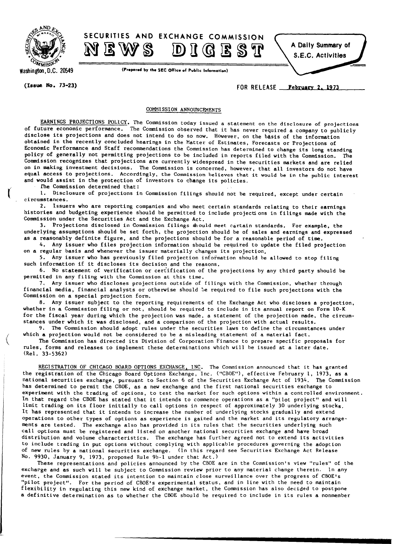



Washington, D.C. 20549

(Prepared by the SEC Office of Public Information)

 $(Is \, \text{use} \, \text{No.} \, 73-23)$   $\qquad \qquad$   $\qquad \qquad$   $\qquad \qquad$   $\qquad \qquad$   $\qquad \qquad$   $\qquad \qquad$   $\qquad \qquad$   $\qquad \qquad$   $\qquad \qquad$   $\qquad$   $\qquad$   $\qquad$   $\qquad$   $\qquad$   $\qquad$   $\qquad$   $\qquad$   $\qquad$   $\qquad$   $\qquad$   $\qquad$   $\qquad$   $\qquad$   $\qquad$   $\qquad$   $\qquad$   $\qquad$   $\q$ 

## COMMISSION ANNOUNCEMENTS

EARNINGS PROJECTIONS POLICY. The Commission today issued a statement on the disclosure of projections of future economic performance. The Commission observed that it has never required a company to publicly disclose its projections and does not intend to do so now. However, on the basis of the information obtained in the recently concluded hearings in the Matter of Estimates, Forecasts or Projections of Economic Performance and Staff recommendations the Commission has determined to change its long standing policy of generally not permitting projections to be included in reports filed with the Commission. The Commission recognizes that projections are currently widespread in the securities markets and are relied on in making investment decisions. The Commission is concerned, however, that all investors do not have equal access to projections. Accordingly, the Commission believes that it would be in the public interest and would assist in the protection of investors to change its policies.

fhe Commission determined that:

1. Disclosure of projections in Commission filings should not be required, except under certain circumstances.

2. Issuers who are reporting companies and who meet certain standards relating to their earnings histories and budgeting experience should be permitted to include projections in filings made with the Commission under the Securities Act and the Exchange Act.

3. Projections disclosed in Commission filings mould meet certain standards. For example, the underlying assumptions should be set forth, the projection should be of sales and earnings and expressed as a reasonably definite figure, and the projections should be for a reasonable period of time.

4. Any issuer who files projection information should be required to update the filed projection on a regular basis and whenever the issuer materially changes its projection.

5. Any issuer who has previously filed projection information should be allowed to stop filing such information if it discloses its decision and the reasons.

6. No statement of verification or certification of the projections by any third party should be permitted in any filing with the Commission at this time.

7. Any issuer who discloses projections outside of filings with the Commission, whether through financial media, financial analysts or otherwise should be required to file such projections with the Commission on a special projection form.

8. Any issuer subject to the reporting requirements of the Exchange Act who discloses a projection, whether in a Commission filing or not, should be required to include in its annual report on Form 10-K for the fiscal year during which the projection was made, a statement of the projection made, the circumstances under which it was disclosed, and a comparison of the projection with actual results.

9. The Commission should adopt rules under the securities laws to define the circumstances under which a projection would not be considered to be a misleading statement of a material fact.

The Commission has directed its Division of Corporation Finance to prepare specific proposals for rules, forms and releases to implement these determinations which will be issued at a later date. (Rei. 33-5362)

REGISTRATION OF CHICAGO BOARD OPTIONS EXCHANGE, INC. The Commission announced that it has granted the registration of the Chicago Board Options Exchange, Inc. ("CBOE"), effective February 1, 1973, as a national securities exchange, pursuant to Section 6 of the Securities Exchange Act of 1934. The Commission has determined to permit the CBOE, as a new exchange and the first national securities exchange to experiment with the trading of options, to test the market for such options within a controlled environment. In that regard the CBOE has stated that it intends to commence operations as a "pilot project" and will limit trading on its floor initially to call options in respect of approximately 30 underlying stocks. It has represented that it intends to increase the number of underlying stocks gradually and extend operations to other types of options as experience is gained and the market and its regulatory arrangements are tested. The exchange also has provided in its rules that the securities underlying such call options must be registered and listed on another national securities exchange and have broad distribution and volume characteristics. The exchange has further agreed not to extend its activities to include trading in put options Without complying with applicable procedures governing the adoption of new rules by a national securities exchange. (In this regard see Securities Exchange Act Release No. 9930, January 9, 1973, proposed Rule 9b-l under that Act.)

These representations and policies announced by the CBOE are in the Commission's view "rules" of the exchapge and as such will be subject to Commission review prior to any material change therein. In any event, the Commission stated its intention to maintain close surveillance over the progress of CBOE's "pilot project". For the period of CBOE's experimental status, and in line with the need to maintain flexibility in regulating this new kind of exchange market, the Commission has also decided to postpone a definitive determination as to whether the CBOE should be required to include in its rules a nonmember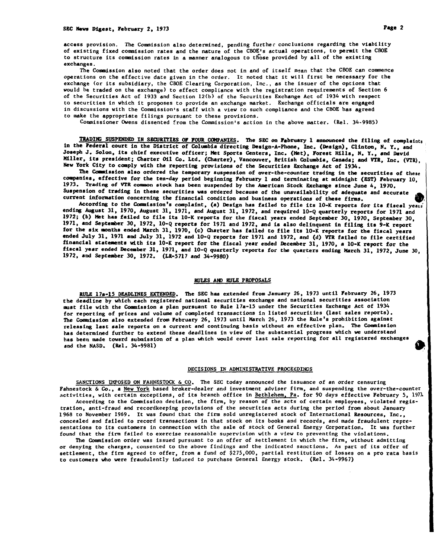access provision. The Commission also determined, pending furthec conclusions regarding the viability of existing fixed commission rates and the nature of the CBOE's actual operations, to permit the CBOE to structure its commission rates in a manner analogous to those provided by all of the existing exchanges.

The Commission also noted that the order does not in and of itself mean that the CBOE can commence operations on the effective date given in the order. It noted that it will first be necessary for the exchange (or its subsidiary, the CBOE Clearing Corporation, Inc., as the issuer of the options that would be traded on the exchange) to effect compliance with the registration requirements of Section 6 of the Securities Act of 1933 and Section 12(b} of the Securities Exchange Act of 1934 with respect to securities in which it proposes to provide an exchange market. Exchange officials are engaged in discussions with the Commission's staff with a view to such compliance and the CBOE has agreed to make the appropriate filings pursuant to these provisions.

Commissioner Owens dissented from the Commission's action in the above matter. (ReI. 34-9985)

TRADING SUSPENDED IN SECURITIES OF FOUR COMPANIES. The SEC on February 1 announced the filing of complaints in the Pederal court in the District of Columbia directing Design-A-Phone, Inc. (Design), Clinton, N. Y., and Joseph J. Solon, its chief executive officer; Met Sports Centers, Inc. (Met), Forest Hills, N. Y., and David Miller, its president; Charter Oil Co. Ltd. (Charter), Vancouver, British Columbia, Canada; and VTa, Inc. (YrR), New York City to comply with the reporting provisions of the Securities Exchange Act of 1934.

The Commission also ordered the temporary suspension of over-the-counter trading in the securities of these companies, effective for the ten-day period beginning February 1 and terminating at midnight (EST) February 10, 1973. Trading of VTR common stock has been suspended by the American Stock Exchange since June 4, 1970. Suspension of trading in these securities was ordered because of the unavailability of adequate and accurate • current information concerning the financial condition and business operations of these firms. •

According to the Commission's complaint, (a) Design has failed to file its 10-K reports for its fiscal years endins August 31, 1970, August 31, 1971, and August 31, 1972, and required 10-Q qusrterly reports for 1971 and 1972; (b) Met has failed to file its 10-K reports for the fiscal years ended September 30, 1970, September 30, 1971, and September 30, 1972, 10-Q reports for 1971 and 1972, and is also delinquent in filing its 9-K report for the six months ended March 31, 1970, (c) Charter has failed to file its 10-X reports for the fiscal years ended July 31, 1971 and July 31, 1972 and 10-Q reports for 1971 and 1972, and (d) VTR failed to file certified financial stateaents With its 10-K report for the fiscal year ended December 31, 1970, a 10-K report for the fiscal year ended Deceaber 31, 1971, and 10-Q quarterly reports for the quarters ending March 31, 1972, June 30, 1972, and Septeaber 30, 1972. (LR-57l7 and 34-9980)

# RULES AND RULE PROPOSALS

RULE 17a-15 DEADLINES EXTENDED. The SEC has extended from January 26, 1973 until February 26, 1973 the deadline by which each registered national securities exchanse and national securities association must file with the Commission a plan pursuant to Rule 17a-15 under the Securities Exchange Act of 1934 for reporting of prices and volume of completed transactions in listed securities (last sales reports). The Commission a180 extended from February 26, 1973 until March 26, 1973 the Rule's prohibition against relessing last sale reports on a current and continuing bssis without an effective plan. The Commission has determined further to extend these deadlines in view of the substantial progress which we understand has been made toward submission of a plan which would cover last ssle reporting for all registered exchanges and the NASD. (Rel. 34-9981)

### DECISIONS IN ADMINISTRATIVE PROCEeDINGS

SANCTIONS IMPOSED ON FAHNESTOCK & CO, The SEC today announced the issuance of an order censuring Fahnestock & Co., a New York based broker-dealer and investment adviser firm, and suspending the over-the-counter activities, with certain exceptions, of its branch office in Bethlehem. Pa. for 90 days effective February 5, 1971

According to the Commission decision, the firm, by reason of the acts of certain employees, violated registration, anti-fraud and recordkeeping provisions of the securities acts during the period from sbout January 1968 to November 1969. It was found that the firm sold unregistered stock of International Resources, Inc., concealed and failed to record transactions in that stock on its books and records, and made fraudulent representations to its customers in connection with the sale of stock of General Energy Corporation. It was further found that the firm failed to exercise reasonable supervision with a view to preventing the violations.

The Commission order was issued pursuant to an offer of settlement in which the firm, without admitting or denying the charges, consented to the above findings and the indicated sanctions. As part of its offer of settlement, the firm agreed to offer, from a fund of \$275,000, partial restitution of losses on a pro rata basis to customers who were fraudulently indaced to purchase General Energy stock, (ReI. 34-9967)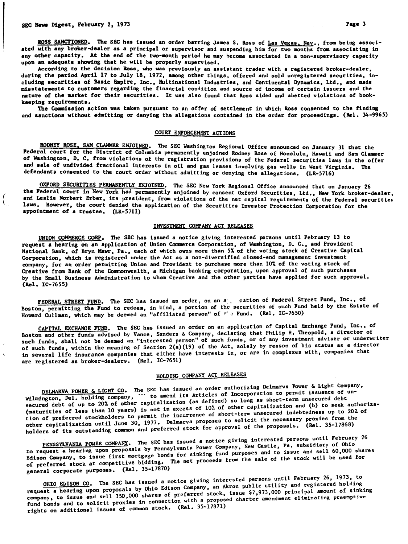$\mathbf{I}$ 

ROSS SANCTIONED. The SEC has issued an order barring James S. Ross of Las Vegas, Nev., from being associated with any broker-dealer as a principal or supervisor and suspending him for two months from associating in any other capacity. At the end of the two-month period he may become associated in a non-supervisory capacity upon an adequate showing that he will be properly supervised.

According to the decision Ross, who was previously an assistant trader with a registered broker-dealer, during the period April 17 to July 18, 1972, among other things, offered and sold unregistered securities, including securities of Basic Empire, Inc., Multinational Industries, and Continental Dynamics, Ltd., and made misstatements to customers regarding the financial condition and source of income of certain issuers and the nature of the market for their securities. It was also found that Ross aided and abetted violations of bookkeeping requirements.

The Commission action was taken pursuant to an offer of settlement in which Ross consented to the finding and sanctions without admitting or denying the allegations contained in the order for proceedings. (ReI. 34-9965)

## COURT ENFORCEMENT ACTIONS

RODNEY ROSE, SAM CLAMMER ENJOINED. The SEC Washington Regional Office announced on January 31 that the Federal court for the District of Columbia permanently enjoined Rodney Rose of Honolulu, Hawaii and Sam Clammer of Washington, D. C. from violations of the registration provisions of the Federal securities laws in the offer and sale of undivided fractional interests in oil and gas leases involving gas wells in West Virginia. The defendants consented to the court order without admitting or denying the allegations. (LR-5716)

OXFORD SECURITIES PERMANENTLY ENJOINED. The SEC New York Regional Office announced that on Jsnuary 26 the Federal court in New York had permanently enjoined by consent Oxford Securities, Ltd., New York broker-dealer, and Leslie Norbert Erber, its president, from violations of the net capital requirements of the Federal securities laws. However, the court denied the application of the Securities Investor Protection Corporation for the appointment of a trustee. (LR-5711)

# INVESTMENT COMPANY ACT RELEASES

UNION COMHERCE CORP. The SEC has issued a notice giving interested pe rsons until February 13 to request a hearing on an application of Union Commerce Corporation, of Washington, D. C., and Provident National Bank, of Bryn Mawr, Pa., each of which owns more than 51 of the voting stock of Creative Capital Corporation. which is registered under the Act as a non-diversified closed-end management investment company, for an order permitting Union and Provident to purchase more than lOt of the voting stock of Creative from Bank of the Commonwealth, a Michigan banking corporation, upon approval of such purchases by the Small Business Administration to whom Creative and the other parties have applied for such approval. (ReI. IC-7655)

FEDERAL STREET FUND. The SEC has issued an order, on an  $z_{\perp}$  cation of Federal Street Fund, Inc., of Boston, permitting the Fund to redeem, in kind, a portion of the securities of such Fund held by the Estate of Howard Cullman, which may be deemed an "affiliated person" of tel Fund. (Rel. IC-7650)

CAPITAL EXCHANGE FUND. The SEC has issued an order on an application of Capital Exchange Fund, Inc., of Boston and other funds advised by Vance, Sanders & Company, declaring that Philip H. Theopold, <sup>a</sup> director of such funds, shall not be deemed an "interested person" of such funds, or of any investment adviser or underwriter of such funds, within the meaning of Section  $2(a)(19)$  of the Act, solely by reason of his status as a director in several life insurance companies that either have interests in, or are in complexes with, companies that are registered as broker-dealers. (ReI. IC-7651)

# HOLDING COMPANY ACT RELEASES

DELMARVA POWER & LIGHT CO. The SEC has issued an order authorizing Delmarva Power & Light Company,<br>Wilmington, Del. holding company, " to amend its Articles of Incorporation to permit issuance of un-<br>secured debt of up to secured debt of up to 20% of other capitalization (secured 10%) of other capitalization and (b) to seek authoriza-<br>(maturities of less than 10 years) is not in excess of l0% of other capitalization and (b) to seek authoriz tion of preferred stockholders to permit the incurrence of short-term unsecured indebtedness up to 20% of other capitalization until June 30, 1977. Delmarva proposes to solicit the necessary proxies from the holders of its outstanding common and preferred stock for approval of the proposals. (Rel. 35-17868)

PENNSYLVANIA POWER COMPANY. The SEC has issued a notice giving interested persons until February 26<br>Letter Company 1 and 2000 new Company New Castle, Pa. subsidiary of Ohio to request a hearing upon proposals by Pennsylvania is the store and to issue and sell 60,000 shares<br>Edison Company, to issue first mortgage bonds for sinking fund purposes and to issue and sell 60,000 shares of preferred stock at competitive bidding. The net proceeds from the sale of the stock will be used for general corporate purposes. (ReI. 35-17870)

OHIO EDISON CO. The SEC has issued a notice giving interested persons until February 26, 1973, to<br>Company and Akron public utility and registered holding request a hearing upon proposals by Ohio Edison Served, son for \$7,973,000 principal amount of sinking<br>company, to issue and sell 350,000 shares of preferred stock, issue \$7,973,000 principal amount of sinking fund bonds and to solicit proxies in connection with a proposed charter amendment eliminating preemptive rights on additional issues of common stock. (ReI. 35·17871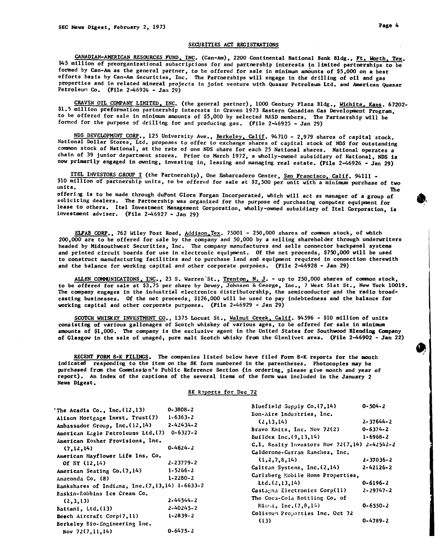# SECURITIES ACT REGISTRATIONS

CANADIAN-AMERICAN RESOURCES FUND, INC. (Can-Am), 2200 Continental National Bank Bldg., Ft. Worth, Tex. \$45 million of preorganizational subscriptions for and partnership interests in limited partnerships to be formed by Can-Am as the general partner, to be offered for sale in minimum amounts of \$5,000 on a best efforts basis by Can-Am Securities, Inc. The Partnerships will engage in the drilling of oil and gas properties and in related mineral projects in joint venture with Quasar Petroleum Ltd. and American Quasar Petroleun Co. (File 2-46924 - Jan 29)

CRAVEN OIL COMPANY LIMITED, INC. (the general partner), 1000 Century Plaza Bldg., Wichita, Kans. 67202-\$1.5 million preformation partnership interests in Craven 1973 Eastern Canadian Gas Development Program, to be offered for sale in minimum amounts of \$5,000 by selected NASD members. The Partnership will be formed for the purpose of drilling for and producing gas. (File 2-46925 - Jan 29)

NDS DEVELOPMENT CORP., 125 University Ave., Berkeley, Calif. 94710 - 2,979 shares of capital stock. National Dollar Stores, Ltd. proposes to offer to exchange shares of capital stock of NDS for outstanding common stock of National, at the rate of one NOS share for each 25 National shares. National operates a chain of 39 junior department stores. Prior to March 1972, a wholly-owned subsidiary of National, NDS is now primarily engaged in owning, investing in, leasing and managing real estate. (File 2-46926 - Jan 29)

ITEL INVESTORS GROUP I (the Partnership), One Embarcadero Center, San Francisco, Calif. 94111 -\$10 million of partnership units, to be offered for sale at \$2,500 per unit with a minimum purchase of two units.

units.<br>offering is to be made through duPont Glore Forgan Incorporated, which will act as manager of a group of soliciting dealers. The Partnership was organized for the purpose of purchasing computer equipment for lease to others. Itel Investment Management Corporation, wholly-owned subsidiary of Itel Corporation, is investment adviser. (File 2-46927 - Jan 29)

ELFAB CORP., 762 Wiley Post Road, Addison,Tex. 75001 - 250,000 shares of common stock, of which 200,000 are to be offered for sale by the company and 50,000 by a selling shareholder through underwriters headed by Hidsouthwest Securities, Inc. The company manufactures and sells connector backpanel systems and printed circuit boards for use in electronic equipment. Of the net proceeds, \$750,000 will be used to conatruct manufacturing facilities and to purchase land and equipment required in connection therewith and the balance for working capital and other corporate purposes. (File 2-46928 - Jan 29)

ALLEN COMMUNICATIONS, INC., 23 S. Warren St., Trenton, N. J. - up to 250,000 shares of common stock, to be offered for sale at \$3.75 per share by Dewey, Johnson & George, Inc., 7 West 51st St., New York 10019. The company engages in the industrial electronics distributorship, the semiconductor and the radio broadcasting bUSinesses. Of the net proceeds, \$126,000 will be used to pay indebtedness and the balance for working capital and other corporate purposes. (File 2-46929 - Jan 29)

SCOTCH WHISKEY INVESTMENT CO., 1375 Locust St., Walnut Creek, Calif. 94596 - \$10 million of units consisting of various gallonages of Scotch whiskey of various ages, to be offered for sale in minimum amounta of \$1,000. The company is the exclusive agent in the United States for Southwood Blending Company of Glasgow in the sale of unaged, pure malt Scotch whisky from the G1enlivet area. (Pile 2-46902 - Jan 22)

RECENT FORM 8-K FILINGS. The companies listed below have filed Form 8-K reports for the month indicated responding to the item on the 8K form numbered in the parentheses. Photocopies may be purchased fram the Commission's Public Reference Section (in ordering, please give month and year of report) • An index of the captions of the several items of the form was included in the January 2 News Digest.

#### 8K Reports for Dec 72

| The Acadia Co., Inc. (12,13)                                                                                                                                                                                                                                                                                                                         | $0 - 3808 - 2$                                                                                                               | Bluefield Supply Co. (7,14)                                                                                                                                                                                                                                                                                                       | $0 - 504 - 2$                                                                                                                  |
|------------------------------------------------------------------------------------------------------------------------------------------------------------------------------------------------------------------------------------------------------------------------------------------------------------------------------------------------------|------------------------------------------------------------------------------------------------------------------------------|-----------------------------------------------------------------------------------------------------------------------------------------------------------------------------------------------------------------------------------------------------------------------------------------------------------------------------------|--------------------------------------------------------------------------------------------------------------------------------|
| Alison Mortgage Invst. Trust(7)<br>Ambassador Group, Inc. (12,14)<br>American Eagle Petroleums Ltd. (7)<br>American Kosher Provisions, Inc.<br>(7, 12, 14)<br>American Mayflower Life Ins. Co.<br>Of NY (12,14)<br>American Seating Co. (7,14)<br>Anaconda Co. (8)<br>Bankshares of Indiana, Inc. (7,13,14) 1-6633-2<br>Baskin-Robbins Ice Cream Co. | $1 - 6363 - 2$<br>$2 - 42434 - 2$<br>$0 - 6327 - 2$<br>$0 - 4624 - 2$<br>$2 - 23779 - 2$<br>$1 - 5266 - 2$<br>$1 - 2280 - 2$ | Bon-Aire Industries, Inc.<br>(2, 13, 14)<br>Bravo Knits, Inc. Nev 72(2)<br>Buildex Inc. (9,13,14)<br>C.I. Realty Investors Nov 72(7,14) 2-42542-2<br>Calderone-Curran Ranches, Inc.<br>(1, 2, 7, 8, 14)<br>Caltran Systems, Inc. (2,14)<br>Carlsberg Mobile Home Properties,<br>Itd. (2, 13, 14)<br>Castagna Electronics Corp(11) | $2 - 37644 - 2$<br>$0 - 6374 - 2$<br>$1 - 6968 - 2$<br>$2 - 37036 - 2$<br>$2 - 42126 - 2$<br>$0 - 6196 - 2$<br>$2 - 29747 - 2$ |
| (2,3,13)<br>Battani, Ltd. (13)<br>Beech Aircraft Corp(7,11)<br>Berkeley Bio-Engineering Inc.<br>Nov $72(7, 11, 14)$                                                                                                                                                                                                                                  | 2-44544-2<br>$2 - 40245 - 2$<br>$1 - 2839 - 2$<br>$0 - 6475 - 2$                                                             | The Coca-Cola Bottling Co. of<br>Miani, Inc. (7,8,14)<br>Coliseum Properties Inc. Oct 72<br>(13)                                                                                                                                                                                                                                  | $0 - 6550 - 2$<br>$0 - 4789 - 2$                                                                                               |

• ..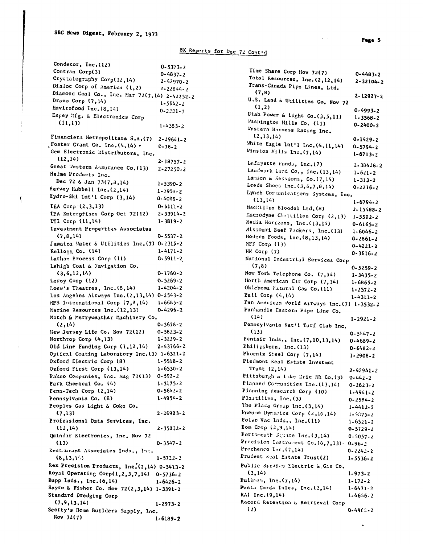$\left($ 

 $\mathcal{A}(\mathcal{A})$  and  $\mathcal{A}(\mathcal{A})$ 

# 8K Reports for Dec 72 Contid

| Condecor, Inc. (12)                           | 0-5373-2       |
|-----------------------------------------------|----------------|
| Contran Corp(3)                               | 0-4837-2       |
| Crystalography Corp(12,14)                    | 2-42970-2      |
| Dialoc Corp of America (1,2)                  | 2-22844-2      |
| Diamond Coal Co., Inc. Mar 72(7,14) 2-42252-2 |                |
| Dravo Corp (7,14)                             | $1 - 5642 - 2$ |
| Envirofood Inc. (8,14)                        | 0-2201-2       |
| Espey lifg. & Electronics Corp                |                |
| (11, 13)                                      | $1 - 4383 - 2$ |
| Financiera Metropolitana S.A.(7)              | 2-29641-2      |
| Foster Grant Co. Inc. (4,14) .                | 0-78-2         |
| Gem Electronic Distributors, Inc.             |                |
| (12,14)                                       | 2-18757-2      |
| Great Mestern Assurance Co. (13)              | 2-27250-2      |
| Helme Products Inc.                           |                |
| Dec 72 & Jan 73(7,8,14)                       | 1-5390-2       |
| Harvey Hubbell Inc. (2,14)                    | $1 - 2953 - 2$ |
| Hydro-Ski Int'l Corp (3,14)                   | 0-4089-2       |
| <b>IEA Corp <math>(2,3,13)</math></b>         | $0 - 6111 - 2$ |
| IPA Enterprises Corp Oct 72(12)               | 2-33914-2      |
| ITI Corp (11,14)                              | 1-3819-2       |
| Investment Properties Associates              |                |
| (7, 8, 14)                                    | $0 - 5537 - 2$ |
| Jamaica Mater & Utilities Inc. (7) 0-2315-2   |                |
| Kelloeg Co. (14)                              | 1-4171-2       |
| Latham Process Corp (11)                      | 0-5911-2       |
| Lehigh Coal & Navigation Co.                  |                |
| (3, 6, 12, 14)                                | 0-1760-2       |
| Leroy Corp (12)                               | 0-5269-2       |
| Loew's Theatres, Inc. (8,14)                  | 1-4204-2       |
| Los Angeles Airways Inc. (2,13,14)            | 0-2543-2       |
| MPS International Corp (7,8,14)               | 1-6685-2       |
| Marine Resources Inc. (12,13)                 | 0-4296-2       |
| Motch & Merryweather Machinery Co.            |                |
| (2,14)                                        | 0-3678-2       |
| New Jersey Life Co. Nov 72(12)                | 0-5823-2       |
| Northrop Corp (4,13)                          | 1-3229-2       |
| Old Line Funding Corp (1,12,14)               | 2-43766-2      |
| Optical Coating Laboratory Inc. (3) 1-6321-2  |                |
| Oxford Electric Corp (8)                      | 1-5518-2       |
| Oxford First Corp (13,14)                     | 1-6530-2       |
| Pakco Companies, Inc. Aug 72(13)              | 0-592-2        |
| Park Chemical Co. (4)                         | 1-3175-2       |
| Penn-Tech Corp (2,14)                         | 0-5642-2       |
| Pennsylvania Co. (8)                          | 1-4954-2       |
| Peoples Cas Light & Coke Co.                  |                |
| (7,13)                                        | 2-26983-2      |
| Professional Data Services, Inc.              |                |
| (12,14)                                       | 2-35832-2      |
| Quindar Electronics, Inc. Nov 72              |                |
| (13)                                          | $0 - 3547 - 2$ |
| Restaurant Associates Inds., Inc.             |                |
| (8,13,17)                                     |                |
|                                               | 1-5722-2       |
| Rex Precision Products, Inc. (2,14) 0-5413-2  |                |
| Royal Operating Corp(1,2,3,7,14) 0-5736-2     |                |
| Rupp Inds., Inc. (6,14)                       | $1 - 6426 - 2$ |
| Sayre & Fisher Co. Nov 72(2,3,14) 1-3391-2    |                |
| Standard Dredging Corp                        |                |
| (7, 9, 13, 14)                                | 1-2973-2       |
| Scotty's Home Builders Supply, Inc.           |                |
| Nov 72(7)                                     | 1-6189-2       |
|                                               |                |

| Time Share Corp Nov 72(7)                       | 0-4483-2        |
|-------------------------------------------------|-----------------|
| Total Resources, Inc. (2,12,14)                 | 2-32104-2       |
| Trans-Canada Pipe Lines, Ltd.                   |                 |
| (7,8)                                           |                 |
| U.S. Land & Utilities Co. Nov 72                | 2-12927-2       |
| (1,2)                                           |                 |
| Utah Power & Light Co. (3, 5, 11)               | 0-4993-2        |
| Washington Mills Co. (11)                       | $1 - 3568 - 2$  |
| Western Harness Racing Inc.                     | 0-2400-2        |
| (2, 13, 14)                                     |                 |
| White Eagle Int'l Inc. (4, 11, 14)              | 0-1429-2        |
| Winston Mills Inc. (7,14)                       | 0-5794-2        |
|                                                 | 1-6713-2        |
| Lafayette Funds, Inc. (7)                       | $2 - 38428 - 2$ |
| Landmark Land Co., Inc. (13,14)                 | $1 - 621 - 2$   |
| Lamson & Sessions, Co. (7,14)                   | $1 - 313 - 2$   |
| Leeds Shoes Inc. $(3, 6, 7, 8, 14)$             |                 |
| Lynch Communications Systems, Inc.              | 0-2216-2        |
| (13,14)                                         |                 |
| MacMillan Bloedel Ltd. (8)                      | 1-6794-2        |
|                                                 | 2-15488-2       |
| Macrodyne Chattillon Corp (2,13)                | 1-5592-2        |
| Media Horizons, Inc. (13,14)                    | 0-6165-2        |
| Missouri Beef Packers, Inc. (13)                | $1 - 6046 - 2$  |
| Modern Foods, Inc. (8,13,14)                    | 0-2861-2        |
| NFF Corp (13)                                   | 0-4221-2        |
| NN Corp (7)                                     | 0-3616-2        |
| National Industrial Services Corp               |                 |
| (7,8)                                           | 0-5259-2        |
| New York Telephone Co. (7,14)                   | 1-3435-2        |
| North American Car Corp (7,14)                  | 1-6865-2        |
| Oklahoma Matural Gas Co. (11)                   | 1-2572-2        |
| Pall Corp (4,14)                                | 1-4311-2        |
| Pan American World Airways Inc. (7) 1-3532-2    |                 |
| Panhandle Eastern Pipe Line Co.                 |                 |
| (14)                                            | 1-2921-2        |
| Pennsylvania Nat'l Turf Club Inc.               |                 |
| (13)                                            | $0 - 54.47 - 2$ |
| Pentair Inds., Inc. (7, 10, 13, 14)             | 0-4689-2        |
| Philipsborn, Inc. (13)                          | $0 - 6482 - 2$  |
| Phoenix Steel Corp (7,14)                       | 1-2908-2        |
| Piedmont Real Estate Invstmnt                   |                 |
| Trust (2,14)                                    | 2-42941-2       |
| Pittsburgh & Lake Erie RR Co. (3)               | $0 - 442 - 2$   |
| Planned Cormunities Inc. (13,14)                |                 |
| Planning Research Corp (10)                     | 0-2623-2        |
| Plastiline, Inc. (3)                            | 1-4941-2        |
| The Plaza Group Inc. (3,14)                     | $0 - 2584 - 2$  |
|                                                 | $1 - 4412 - 2$  |
| Pneumo Dynamics Corp (2,10,14)                  | 1-4375-2        |
| Polar Vac Inds., Inc. (11)<br>Pom Corp (2,9,14) | 1-6521-2        |
|                                                 | 0-5729-2        |
| Portsmouth Square Inc. (3,14)                   | 0-4057-2        |
| Precision Instrument Co. (6,7,13).              | 0-96-2          |
| Prochenco Inc. (7,14)                           | 0-2242-2        |
| Prudent Real Estate Trust(2)                    | 1-5536-2        |
| Public Service Electric & Gas Co.               |                 |
| (3,14)                                          | 1-973-2         |
| Pullman, Inc. (7,14)                            | 1-172-2         |
| Punta Gorda Isles, Inc. (2,14)                  | 1-6471-2        |
| RAI Inc. (9,14)                                 | 1-4546-2        |
| Record Retention & Retrieval Corp               |                 |
| (2)                                             | 0-4962-2        |
|                                                 |                 |

 $\bullet$